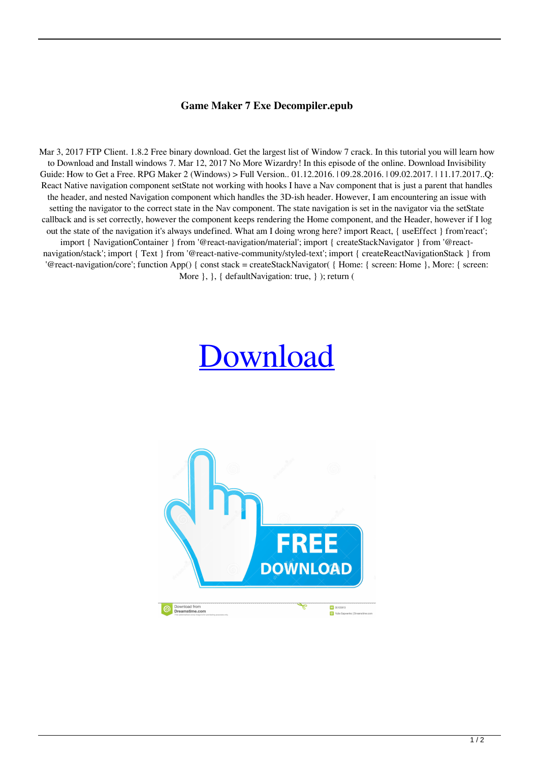## **Game Maker 7 Exe Decompiler.epub**

Mar 3, 2017 FTP Client. 1.8.2 Free binary download. Get the largest list of Window 7 crack. In this tutorial you will learn how to Download and Install windows 7. Mar 12, 2017 No More Wizardry! In this episode of the online. Download Invisibility Guide: How to Get a Free. RPG Maker 2 (Windows) > Full Version.. 01.12.2016. | 09.28.2016. | 09.02.2017. | 11.17.2017..Q: React Native navigation component setState not working with hooks I have a Nav component that is just a parent that handles the header, and nested Navigation component which handles the 3D-ish header. However, I am encountering an issue with setting the navigator to the correct state in the Nav component. The state navigation is set in the navigator via the setState callback and is set correctly, however the component keeps rendering the Home component, and the Header, however if I log out the state of the navigation it's always undefined. What am I doing wrong here? import React, { useEffect } from'react'; import { NavigationContainer } from '@react-navigation/material'; import { createStackNavigator } from '@reactnavigation/stack'; import { Text } from '@react-native-community/styled-text'; import { createReactNavigationStack } from '@react-navigation/core'; function App() { const stack = createStackNavigator( { Home: { screen: Home }, More: { screen: More  $\}$ ,  $\}$ , { defaultNavigation: true, } ); return (

## [Download](http://evacdir.com/R2FtZSBNYWtlciA3IEV4ZSBEZWNvbXBpbGVyLmVwdWIR2F/webmail/lindblad.standouts?straddles.ZG93bmxvYWR8OTJRTTI4eWZId3hOalV5TnpRd09EWTJmSHd5TlRjMGZId29UU2tnY21WaFpDMWliRzluSUZ0R1lYTjBJRWRGVGww)